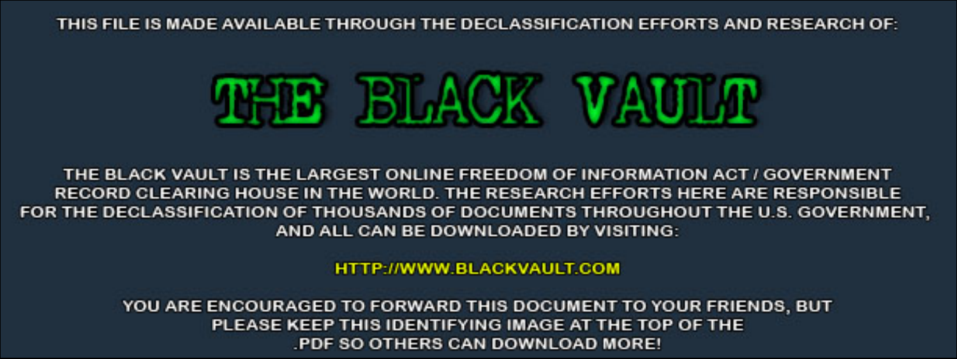THIS FILE IS MADE AVAILABLE THROUGH THE DECLASSIFICATION EFFORTS AND RESEARCH OF:



THE BLACK VAULT IS THE LARGEST ONLINE FREEDOM OF INFORMATION ACT / GOVERNMENT RECORD CLEARING HOUSE IN THE WORLD. THE RESEARCH EFFORTS HERE ARE RESPONSIBLE FOR THE DECLASSIFICATION OF THOUSANDS OF DOCUMENTS THROUGHOUT THE U.S. GOVERNMENT, AND ALL CAN BE DOWNLOADED BY VISITING:

**HTTP://WWW.BLACKVAULT.COM** 

YOU ARE ENCOURAGED TO FORWARD THIS DOCUMENT TO YOUR FRIENDS, BUT PLEASE KEEP THIS IDENTIFYING IMAGE AT THE TOP OF THE PDF SO OTHERS CAN DOWNLOAD MORE!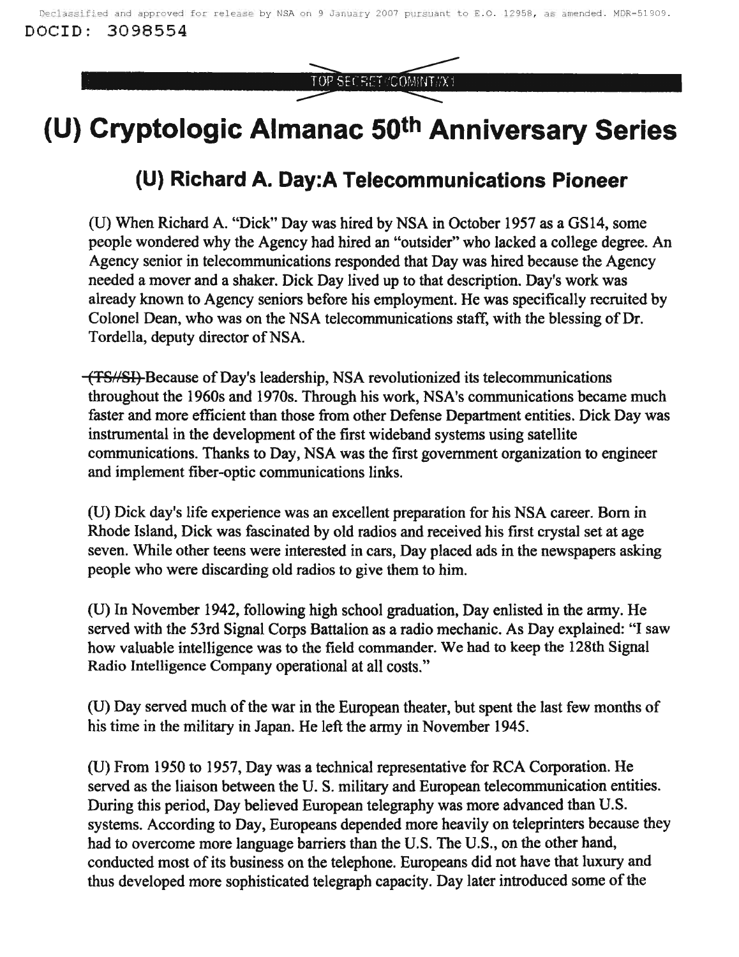TOP SECRET //COMINT//X1

## **(U) Cryptologic Almanac 50th Anniversary Series**

## **(U) Richard A. Day:A Telecommunications Pioneer**

CU) When Richard A. "Dick" Day was hired by NSA in October 1957 as a GS14, some people wondered why the Agency had hired an "outsider" who lacked a college degree. An Agency senior in telecommunications responded that Day was hired because the Agency needed a mover and a shaker. Dick Day lived up to that description. Day's work was already known to Agency seniors before his employment. He was specifically recruited by Colonel Dean, who was on the NSA telecommunications staff, with the blessing of Dr. Tordella, deputy director of NSA.

(TSN8I) Because ofDay's leadership, NSA revolutionized its telecommunications throughout the 1960s and 1970s. Through his work, NSA's communications became much faster and more efficient than those from other Defense Department entities. Dick Day was instrumental in the development of the first wideband systems using satellite communications. Thanks to Day, NSA was the first government organization to engineer and implement fiber-optic communications links.

(U) Dick day's life experience was an excellent preparation for his NSA career. Born in Rhode Island, Dick was fascinated by old radios and received his first crystal set at age seven. While other teens were interested in cars, Day placed ads in the newspapers asking people who were discarding old radios to give them to him.

(U) In November 1942, following high school graduation, Day enlisted in the army. He served with the 53rd Signal Corps Battalion as a radio mechanic. As Day explained: "I saw how valuable intelligence was to the field commander. We had to keep the 128th Signal Radio Intelligence Company operational at all costs."

(U) Day served much of the war in the European theater, but spent the last few months of his time in the military in Japan. He left the army in November 1945.

(U) From 1950 to 1957, Day was a technical representative for RCA Corporation. He served as the liaison between the U. S. military and European telecommunication entities. During this period, Day believed European telegraphy was more advanced than U.S. systems. According to Day, Europeans depended more heavily on teleprinters because they had to overcome more language barriers than the U.S. The U.S., on the other hand, conducted most of its business on the telephone. Europeans did not have that luxury and thus developed more sophisticated telegraph capacity. Day later introduced some of the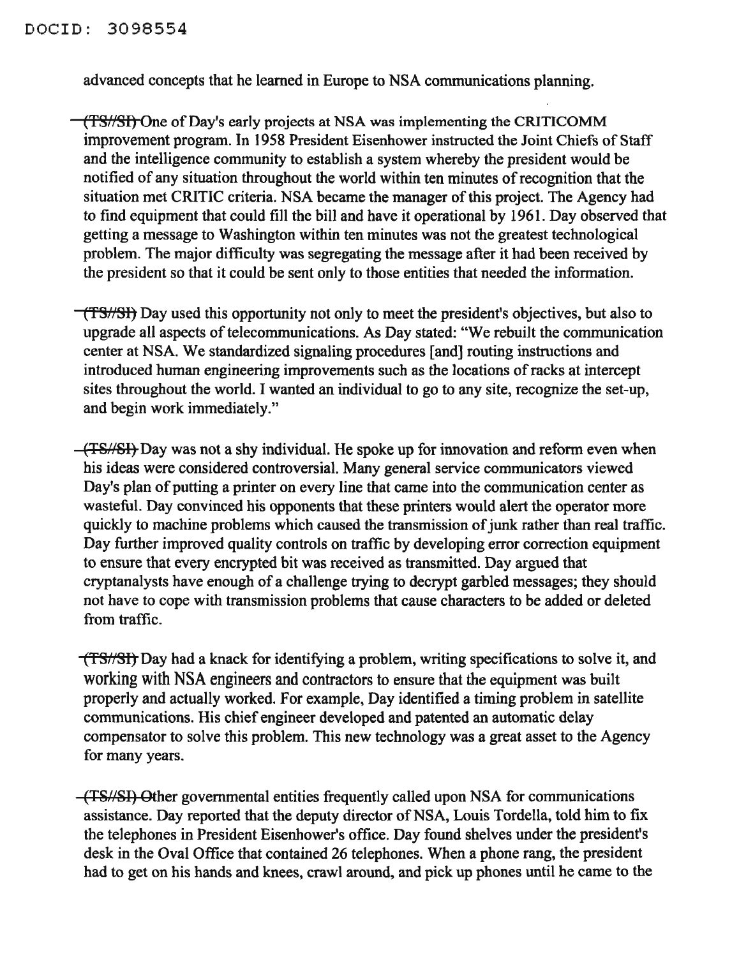advanced concepts that he learned in Europe to NSA communications planning.

(TS//Sf) One of Day's early projects at NSA was implementing the CRITICOMM improvement program. In 1958 President Eisenhower instructed the Joint Chiefs of Staff and the intelligence community to establish a system whereby the president would be notified of any situation throughout the world within ten minutes ofrecognition that the situation met CRITIC criteria. NSA became the manager ofthis project. The Agency had to find equipment that could fill the bill and have it operational by 1961. Day observed that getting a message to Washington within ten minutes was not the greatest technological problem. The major difficulty was segregating the message after it had been received by the president so that it could be sent only to those entities that needed the information.

(TS/SH) Day used this opportunity not only to meet the president's objectives, but also to upgrade all aspects of telecommunications. As Day stated: "We rebuilt the communication center at NSA. We standardized signaling procedures [and] routing instructions and introduced human engineering improvements such as the locations of racks at intercept sites throughout the world. I wanted an individual to go to any site, recognize the set-up, and begin work immediately."

(TS/SI) Day was not a shy individual. He spoke up for innovation and reform even when his ideas were considered controversial. Many general service communicators viewed Day's plan of putting a printer on every line that came into the communication center as wasteful. Day convinced his opponents that these printers would alert the operator more quickly to machine problems which caused the transmission of junk rather than real traffic. Day further improved quality controls on traffic by developing error correction equipment to ensure that every encrypted bit was received as transmitted. Day argued that cryptanalysts have enough of a challenge trying to decrypt garbled messages; they should not have to cope with transmission problems that cause characters to be added or deleted from traffic.

(TS//SI) Day had a knack for identifying a problem, writing specifications to solve it, and working with NSA engineers and contractors to ensure that the equipment was built properly and actually worked. For example, Day identified a timing problem in satellite communications. His chief engineer developed and patented an automatic delay compensator to solve this problem. This new technology was a great asset to the Agency for many years.

(TSt/SI) Other governmental entities frequently called upon NSA for communications assistance. Day reported that the deputy director of NSA, Louis Tordella, told him to fix the telephones in President Eisenhower's office. Day found shelves under the president's desk in the Oval Office that contained 26 telephones. When a phone rang, the president had to get on his hands and knees, crawl around, and pick up phones until he came to the